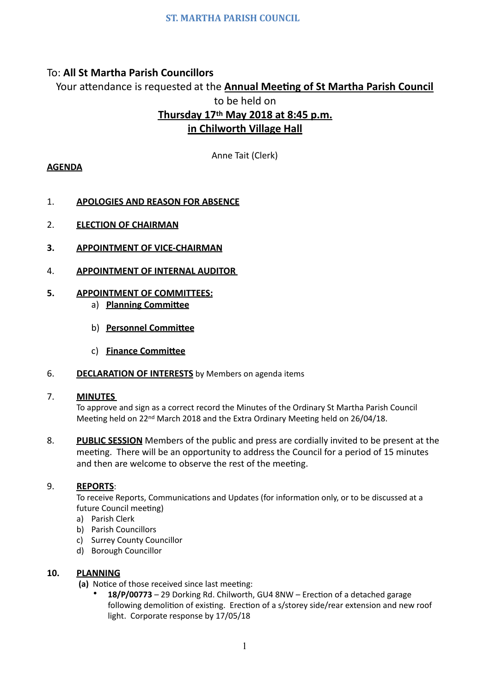# To: **All St Martha Parish Councillors**

Your attendance is requested at the **Annual Meeting of St Martha Parish Council** to be held on

# Thursday 17<sup>th</sup> May 2018 at 8:45 p.m. **in Chilworth Village Hall**

Anne Tait (Clerk)

# **AGENDA**

- 1. **APOLOGIES AND REASON FOR ABSENCE**
- 2. **ELECTION OF CHAIRMAN**
- **3. APPOINTMENT OF VICE-CHAIRMAN**
- **4. APPOINTMENT OF INTERNAL AUDITOR**

# **5. APPOINTMENT OF COMMITTEES:**

- a) **Planning Committee**
- b) **Personnel Committee**
- c) **Finance Committee**
- 6. **DECLARATION OF INTERESTS** by Members on agenda items

#### 7. **MINUTES**

To approve and sign as a correct record the Minutes of the Ordinary St Martha Parish Council Meeting held on 22<sup>nd</sup> March 2018 and the Extra Ordinary Meeting held on 26/04/18.

8. **PUBLIC SESSION** Members of the public and press are cordially invited to be present at the meeting. There will be an opportunity to address the Council for a period of 15 minutes and then are welcome to observe the rest of the meeting.

#### 9. **REPORTS**:

To receive Reports, Communications and Updates (for information only, or to be discussed at a future Council meeting)

- a) Parish Clerk
- b) Parish Councillors
- c) Surrey County Councillor
- d) Borough Councillor

#### **10. PLANNING**

- **(a)** Notice of those received since last meeting:
	- 18/P/00773 29 Dorking Rd. Chilworth, GU4 8NW Erection of a detached garage following demolition of existing. Erection of a s/storey side/rear extension and new roof light. Corporate response by 17/05/18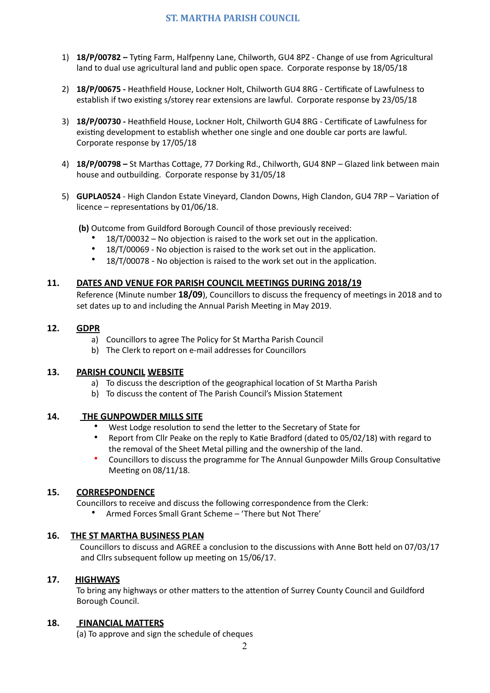# **ST. MARTHA PARISH COUNCIL**

- 1) **18/P/00782** Tyting Farm, Halfpenny Lane, Chilworth, GU4 8PZ Change of use from Agricultural land to dual use agricultural land and public open space. Corporate response by 18/05/18
- 2) **18/P/00675** Heathfield House, Lockner Holt, Chilworth GU4 8RG Certificate of Lawfulness to establish if two existing s/storey rear extensions are lawful. Corporate response by 23/05/18
- 3) 18/P/00730 Heathfield House, Lockner Holt, Chilworth GU4 8RG Certificate of Lawfulness for existing development to establish whether one single and one double car ports are lawful. Corporate response by 17/05/18
- 4) **18/P/00798** St Marthas Cottage, 77 Dorking Rd., Chilworth, GU4 8NP Glazed link between main house and outbuilding. Corporate response by 31/05/18
- 5) **GUPLA0524** High Clandon Estate Vineyard, Clandon Downs, High Clandon, GU4 7RP Variation of licence – representations by  $01/06/18$ .
	- **(b)** Outcome from Guildford Borough Council of those previously received:
		- $18/T/00032 -$  No objection is raised to the work set out in the application.
		- 18/T/00069 No objection is raised to the work set out in the application.
		- 18/T/00078 No objection is raised to the work set out in the application.

#### **11.** DATES AND VENUE FOR PARISH COUNCIL MEETINGS DURING 2018/19

Reference (Minute number 18/09), Councillors to discuss the frequency of meetings in 2018 and to set dates up to and including the Annual Parish Meeting in May 2019.

#### **12. GDPR**

- a) Councillors to agree The Policy for St Martha Parish Council
- b) The Clerk to report on e-mail addresses for Councillors

#### **13. PARISH COUNCIL WEBSITE**

- a) To discuss the description of the geographical location of St Martha Parish
- b) To discuss the content of The Parish Council's Mission Statement

#### **14.** THE GUNPOWDER MILLS SITE

- West Lodge resolution to send the letter to the Secretary of State for
- Report from Cllr Peake on the reply to Katie Bradford (dated to 05/02/18) with regard to the removal of the Sheet Metal pilling and the ownership of the land.
- Councillors to discuss the programme for The Annual Gunpowder Mills Group Consultative Meeting on  $08/11/18$ .

#### **15. CORRESPONDENCE**

Councillors to receive and discuss the following correspondence from the Clerk:

Armed Forces Small Grant Scheme - 'There but Not There'

#### **16.** THE ST MARTHA BUSINESS PLAN

Councillors to discuss and AGREE a conclusion to the discussions with Anne Bott held on 07/03/17 and Cllrs subsequent follow up meeting on 15/06/17.

#### 17. **HIGHWAYS**

To bring any highways or other matters to the attention of Surrey County Council and Guildford Borough Council.

#### 18. **FINANCIAL MATTERS**

(a) To approve and sign the schedule of cheques